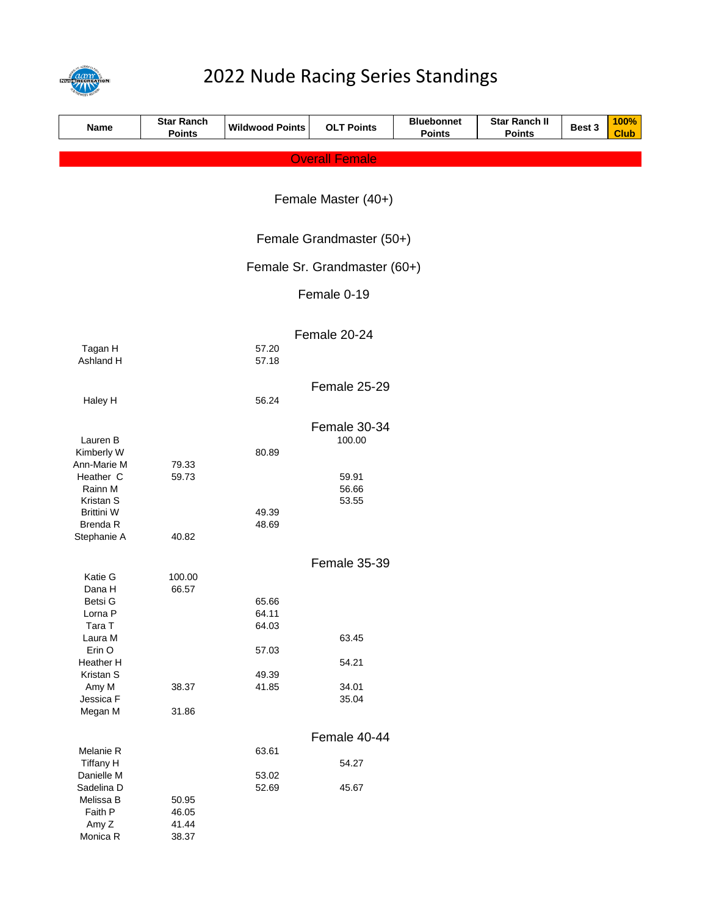

# 2022 Nude Racing Series Standings

| Name                           | <b>Star Ranch</b><br><b>Points</b> | <b>Wildwood Points</b> | <b>OLT Points</b>     | <b>Bluebonnet</b><br><b>Points</b> | <b>Star Ranch II</b><br><b>Points</b> | Best 3 | 100%<br><b>Club</b> |  |
|--------------------------------|------------------------------------|------------------------|-----------------------|------------------------------------|---------------------------------------|--------|---------------------|--|
|                                |                                    |                        | <b>Overall Female</b> |                                    |                                       |        |                     |  |
|                                |                                    |                        |                       |                                    |                                       |        |                     |  |
|                                | Female Master (40+)                |                        |                       |                                    |                                       |        |                     |  |
|                                |                                    |                        |                       |                                    |                                       |        |                     |  |
|                                | Female Grandmaster (50+)           |                        |                       |                                    |                                       |        |                     |  |
|                                | Female Sr. Grandmaster (60+)       |                        |                       |                                    |                                       |        |                     |  |
|                                |                                    |                        | Female 0-19           |                                    |                                       |        |                     |  |
|                                |                                    |                        | Female 20-24          |                                    |                                       |        |                     |  |
| Tagan H<br>Ashland H           |                                    | 57.20<br>57.18         |                       |                                    |                                       |        |                     |  |
|                                |                                    |                        | Female 25-29          |                                    |                                       |        |                     |  |
| Haley H                        |                                    | 56.24                  |                       |                                    |                                       |        |                     |  |
|                                |                                    |                        | Female 30-34          |                                    |                                       |        |                     |  |
| Lauren B<br>Kimberly W         |                                    | 80.89                  | 100.00                |                                    |                                       |        |                     |  |
| Ann-Marie M                    | 79.33                              |                        |                       |                                    |                                       |        |                     |  |
| Heather C                      | 59.73                              |                        | 59.91                 |                                    |                                       |        |                     |  |
| Rainn M                        |                                    |                        | 56.66                 |                                    |                                       |        |                     |  |
| Kristan S<br><b>Brittini W</b> |                                    | 49.39                  | 53.55                 |                                    |                                       |        |                     |  |
| <b>Brenda R</b>                |                                    | 48.69                  |                       |                                    |                                       |        |                     |  |
| Stephanie A                    | 40.82                              |                        |                       |                                    |                                       |        |                     |  |
|                                |                                    |                        | Female 35-39          |                                    |                                       |        |                     |  |
| Katie G                        | 100.00                             |                        |                       |                                    |                                       |        |                     |  |
| Dana H                         | 66.57                              |                        |                       |                                    |                                       |        |                     |  |
| Betsi G                        |                                    | 65.66                  |                       |                                    |                                       |        |                     |  |
| Lorna <sub>P</sub><br>Tara T   |                                    | 64.11<br>64.03         |                       |                                    |                                       |        |                     |  |
| Laura M                        |                                    |                        | 63.45                 |                                    |                                       |        |                     |  |
| Erin O                         |                                    | 57.03                  |                       |                                    |                                       |        |                     |  |
| Heather H                      |                                    |                        | 54.21                 |                                    |                                       |        |                     |  |
| Kristan S                      |                                    | 49.39                  |                       |                                    |                                       |        |                     |  |
| Amy M<br>Jessica F             | 38.37                              | 41.85                  | 34.01<br>35.04        |                                    |                                       |        |                     |  |
| Megan M                        | 31.86                              |                        |                       |                                    |                                       |        |                     |  |
|                                |                                    |                        |                       |                                    |                                       |        |                     |  |
|                                | Female 40-44                       |                        |                       |                                    |                                       |        |                     |  |
| Melanie R                      |                                    | 63.61                  |                       |                                    |                                       |        |                     |  |
| Tiffany H<br>Danielle M        |                                    | 53.02                  | 54.27                 |                                    |                                       |        |                     |  |
| Sadelina D                     |                                    | 52.69                  | 45.67                 |                                    |                                       |        |                     |  |
| Melissa B                      | 50.95                              |                        |                       |                                    |                                       |        |                     |  |
| Faith P                        | 46.05                              |                        |                       |                                    |                                       |        |                     |  |
| Amy Z                          | 41.44                              |                        |                       |                                    |                                       |        |                     |  |
| Monica R                       | 38.37                              |                        |                       |                                    |                                       |        |                     |  |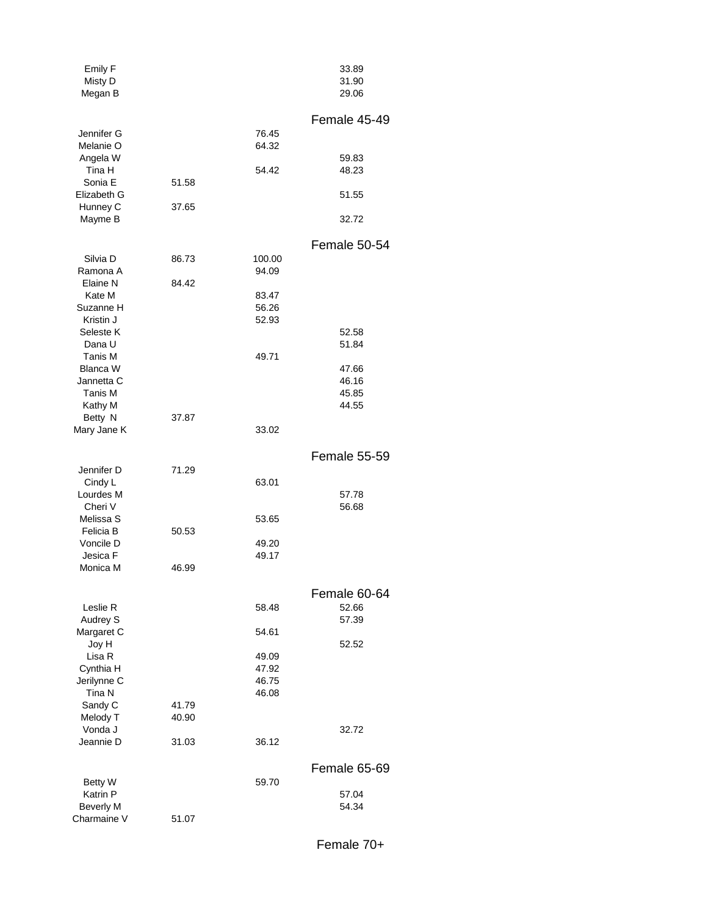| Emily F<br>Misty D<br>Megan B |       |                | 33.89<br>31.90<br>29.06 |
|-------------------------------|-------|----------------|-------------------------|
| Jennifer G                    |       | 76.45          | Female 45-49            |
| Melanie O                     |       | 64.32          |                         |
| Angela W<br>Tina H            |       | 54.42          | 59.83<br>48.23          |
| Sonia E                       | 51.58 |                |                         |
| Elizabeth G                   |       |                | 51.55                   |
| Hunney C<br>Mayme B           | 37.65 |                | 32.72                   |
|                               |       |                |                         |
| Silvia D                      | 86.73 | 100.00         | Female 50-54            |
| Ramona A                      |       | 94.09          |                         |
| Elaine N                      | 84.42 |                |                         |
| Kate M                        |       | 83.47          |                         |
| Suzanne H<br>Kristin J        |       | 56.26<br>52.93 |                         |
| Seleste K                     |       |                | 52.58                   |
| Dana U                        |       |                | 51.84                   |
| Tanis M<br><b>Blanca W</b>    |       | 49.71          |                         |
| Jannetta C                    |       |                | 47.66<br>46.16          |
| Tanis M                       |       |                | 45.85                   |
| Kathy M                       |       |                | 44.55                   |
| Betty N<br>Mary Jane K        | 37.87 | 33.02          |                         |
|                               |       |                |                         |
|                               |       |                | Female 55-59            |
| Jennifer D<br>Cindy L         | 71.29 | 63.01          |                         |
| Lourdes M                     |       |                | 57.78                   |
| Cheri V                       |       |                | 56.68                   |
| Melissa S<br>Felicia B        | 50.53 | 53.65          |                         |
| Voncile D                     |       | 49.20          |                         |
| Jesica F                      |       | 49.17          |                         |
| Monica M                      | 46.99 |                |                         |
|                               |       |                | Female 60-64            |
| Leslie R                      |       | 58.48          | 52.66                   |
| Audrey S<br>Margaret C        |       | 54.61          | 57.39                   |
| Joy H                         |       |                | 52.52                   |
| Lisa R                        |       | 49.09          |                         |
| Cynthia H                     |       | 47.92          |                         |
| Jerilynne C<br>Tina N         |       | 46.75<br>46.08 |                         |
| Sandy C                       | 41.79 |                |                         |
| Melody T                      | 40.90 |                |                         |
| Vonda J<br>Jeannie D          | 31.03 | 36.12          | 32.72                   |
|                               |       |                |                         |
|                               |       |                | Female 65-69            |
| <b>Betty W</b><br>Katrin P    |       | 59.70          | 57.04                   |
| <b>Beverly M</b>              |       |                | 54.34                   |
| Charmaine V                   | 51.07 |                |                         |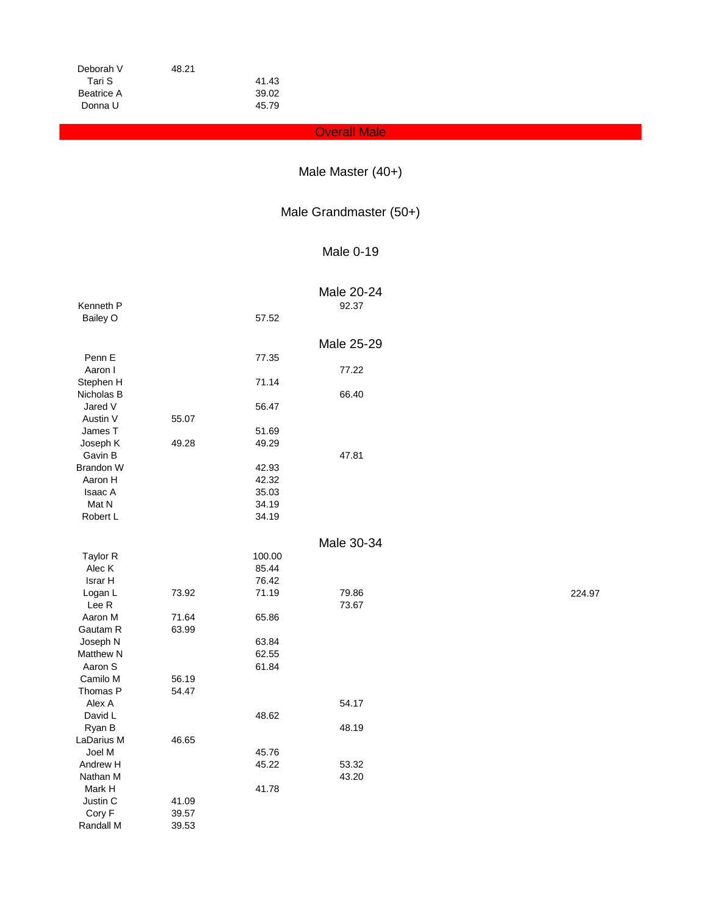| Deborah V  | 48.21 |       |
|------------|-------|-------|
| Tari S     |       | 41.43 |
| Beatrice A |       | 39.02 |
| Donna U    |       | 45.79 |

### **Overall Male**

## Male Master (40+)

### Male Grandmaster (50+)

### Male 0-19

|            |       |        | Male 20-24 |        |
|------------|-------|--------|------------|--------|
| Kenneth P  |       |        | 92.37      |        |
| Bailey O   |       | 57.52  |            |        |
|            |       |        |            |        |
|            |       |        | Male 25-29 |        |
| Penn E     |       | 77.35  |            |        |
| Aaron I    |       |        | 77.22      |        |
| Stephen H  |       | 71.14  |            |        |
| Nicholas B |       |        | 66.40      |        |
| Jared V    |       | 56.47  |            |        |
| Austin V   | 55.07 |        |            |        |
| James T    |       | 51.69  |            |        |
| Joseph K   | 49.28 | 49.29  |            |        |
| Gavin B    |       |        | 47.81      |        |
| Brandon W  |       | 42.93  |            |        |
| Aaron H    |       | 42.32  |            |        |
| Isaac A    |       | 35.03  |            |        |
| Mat N      |       | 34.19  |            |        |
| Robert L   |       | 34.19  |            |        |
|            |       |        |            |        |
|            |       |        | Male 30-34 |        |
| Taylor R   |       | 100.00 |            |        |
| Alec K     |       | 85.44  |            |        |
| Israr H    |       | 76.42  |            |        |
| Logan L    | 73.92 | 71.19  | 79.86      | 224.97 |
| Lee R      |       |        | 73.67      |        |
| Aaron M    | 71.64 | 65.86  |            |        |
| Gautam R   | 63.99 |        |            |        |
| Joseph N   |       | 63.84  |            |        |
| Matthew N  |       | 62.55  |            |        |
| Aaron S    |       | 61.84  |            |        |
| Camilo M   | 56.19 |        |            |        |
| Thomas P   | 54.47 |        |            |        |
| Alex A     |       |        | 54.17      |        |
| David L    |       | 48.62  |            |        |
| Ryan B     |       |        | 48.19      |        |
| LaDarius M | 46.65 |        |            |        |
| Joel M     |       | 45.76  |            |        |
| Andrew H   |       | 45.22  | 53.32      |        |
| Nathan M   |       |        | 43.20      |        |
| Mark H     |       | 41.78  |            |        |
| Justin C   | 41.09 |        |            |        |
| Cory F     | 39.57 |        |            |        |
| Randall M  | 39.53 |        |            |        |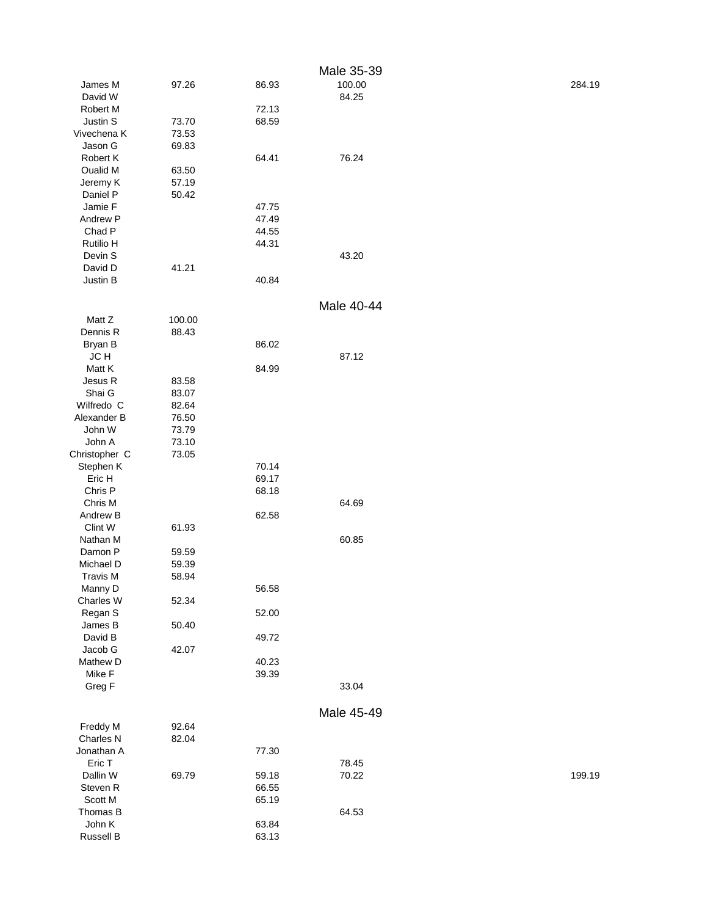|                    |                 |                | Male 35-39 |        |
|--------------------|-----------------|----------------|------------|--------|
| James M            | 97.26           | 86.93          | 100.00     | 284.19 |
| David W            |                 |                | 84.25      |        |
| Robert M           |                 | 72.13          |            |        |
| Justin S           | 73.70           | 68.59          |            |        |
| Vivechena K        | 73.53           |                |            |        |
| Jason G            | 69.83           |                |            |        |
| Robert K           |                 | 64.41          | 76.24      |        |
| Oualid M           | 63.50           |                |            |        |
| Jeremy K           | 57.19           |                |            |        |
| Daniel P           | 50.42           |                |            |        |
| Jamie F            |                 | 47.75          |            |        |
| Andrew P           |                 | 47.49          |            |        |
| Chad P             |                 | 44.55          |            |        |
| Rutilio H          |                 | 44.31          |            |        |
| Devin S            |                 |                | 43.20      |        |
| David D            | 41.21           |                |            |        |
| Justin B           |                 | 40.84          |            |        |
|                    |                 |                | Male 40-44 |        |
|                    |                 |                |            |        |
| Matt Z<br>Dennis R | 100.00<br>88.43 |                |            |        |
|                    |                 | 86.02          |            |        |
| Bryan B<br>JC H    |                 |                | 87.12      |        |
| Matt K             |                 | 84.99          |            |        |
| Jesus R            |                 |                |            |        |
| Shai G             | 83.58<br>83.07  |                |            |        |
| Wilfredo C         | 82.64           |                |            |        |
| Alexander B        | 76.50           |                |            |        |
| John W             | 73.79           |                |            |        |
| John A             | 73.10           |                |            |        |
| Christopher C      | 73.05           |                |            |        |
| Stephen K          |                 | 70.14          |            |        |
| Eric H             |                 | 69.17          |            |        |
| Chris P            |                 | 68.18          |            |        |
| Chris M            |                 |                | 64.69      |        |
| Andrew B           |                 | 62.58          |            |        |
| Clint W            | 61.93           |                |            |        |
| Nathan M           |                 |                | 60.85      |        |
| Damon P            | 59.59           |                |            |        |
| Michael D          | 59.39           |                |            |        |
| <b>Travis M</b>    | 58.94           |                |            |        |
| Manny D            |                 | 56.58          |            |        |
| Charles W          | 52.34           |                |            |        |
| Regan S            |                 | 52.00          |            |        |
| James B            | 50.40           |                |            |        |
| David B            |                 | 49.72          |            |        |
| Jacob G            | 42.07           |                |            |        |
| Mathew D           |                 | 40.23          |            |        |
| Mike F             |                 | 39.39          |            |        |
| Greg F             |                 |                | 33.04      |        |
|                    |                 |                |            |        |
|                    |                 |                | Male 45-49 |        |
| Freddy M           | 92.64           |                |            |        |
| Charles N          | 82.04           |                |            |        |
| Jonathan A         |                 | 77.30          |            |        |
| Eric T             |                 |                | 78.45      |        |
| Dallin W           | 69.79           | 59.18          | 70.22      | 199.19 |
| Steven R           |                 | 66.55          |            |        |
| Scott M            |                 | 65.19          |            |        |
| Thomas B<br>John K |                 |                | 64.53      |        |
| Russell B          |                 | 63.84<br>63.13 |            |        |
|                    |                 |                |            |        |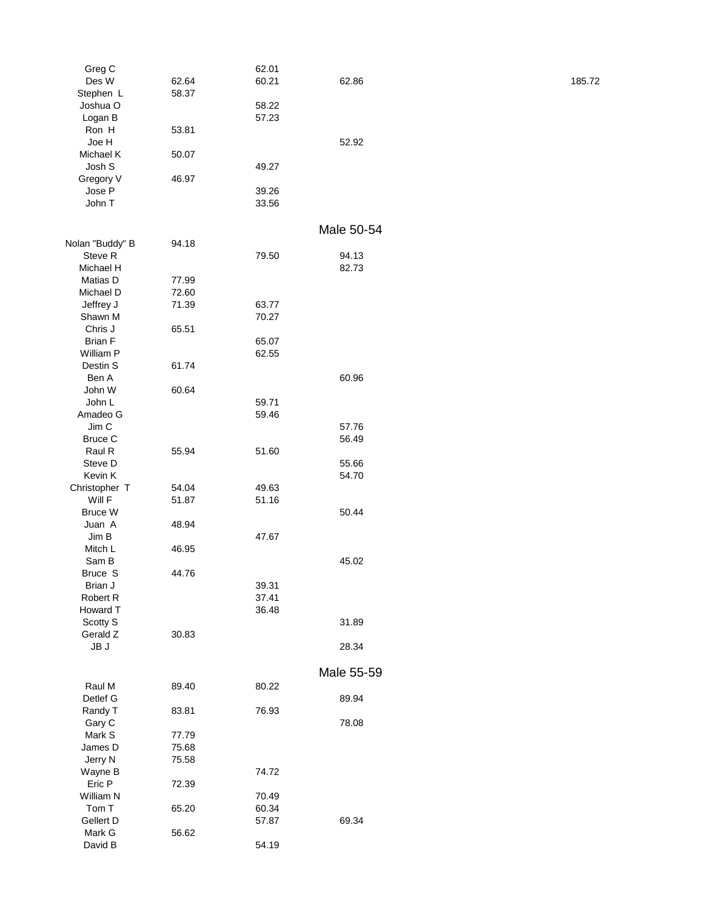| Greg C          |       | 62.01 |            |        |
|-----------------|-------|-------|------------|--------|
| Des W           | 62.64 | 60.21 | 62.86      | 185.72 |
| Stephen L       | 58.37 |       |            |        |
| Joshua O        |       | 58.22 |            |        |
| Logan B         |       | 57.23 |            |        |
| Ron H           | 53.81 |       |            |        |
| Joe H           |       |       | 52.92      |        |
| Michael K       | 50.07 |       |            |        |
| Josh S          |       | 49.27 |            |        |
| Gregory V       | 46.97 |       |            |        |
| Jose P          |       | 39.26 |            |        |
| John T          |       | 33.56 |            |        |
|                 |       |       |            |        |
|                 |       |       | Male 50-54 |        |
| Nolan "Buddy" B | 94.18 |       |            |        |
| Steve R         |       | 79.50 | 94.13      |        |
| Michael H       |       |       | 82.73      |        |
| Matias D        | 77.99 |       |            |        |
| Michael D       | 72.60 |       |            |        |
| Jeffrey J       | 71.39 | 63.77 |            |        |
| Shawn M         |       | 70.27 |            |        |
| Chris J         | 65.51 |       |            |        |
| <b>Brian F</b>  |       | 65.07 |            |        |
| William P       |       | 62.55 |            |        |
|                 |       |       |            |        |
| Destin S        | 61.74 |       | 60.96      |        |
| Ben A           |       |       |            |        |
| John W          | 60.64 |       |            |        |
| John L          |       | 59.71 |            |        |
| Amadeo G        |       | 59.46 |            |        |
| Jim C           |       |       | 57.76      |        |
| <b>Bruce C</b>  |       |       | 56.49      |        |
| Raul R          | 55.94 | 51.60 |            |        |
| Steve D         |       |       | 55.66      |        |
| Kevin K         |       |       | 54.70      |        |
| Christopher T   | 54.04 | 49.63 |            |        |
| Will F          | 51.87 | 51.16 |            |        |
| Bruce W         |       |       | 50.44      |        |
| Juan A          | 48.94 |       |            |        |
| Jim B           |       | 47.67 |            |        |
| Mitch L         | 46.95 |       | 45.02      |        |
| Sam B           |       |       |            |        |
| Bruce S         | 44.76 |       |            |        |
| Brian J         |       | 39.31 |            |        |
| Robert R        |       | 37.41 |            |        |
| Howard T        |       | 36.48 |            |        |
| Scotty S        |       |       | 31.89      |        |
| Gerald Z        | 30.83 |       |            |        |
| JB J            |       |       | 28.34      |        |
|                 |       |       |            |        |
|                 |       |       | Male 55-59 |        |
| Raul M          | 89.40 | 80.22 |            |        |
| Detlef G        |       |       | 89.94      |        |
| Randy T         | 83.81 | 76.93 |            |        |
| Gary C          |       |       | 78.08      |        |
| Mark S          | 77.79 |       |            |        |
| James D         | 75.68 |       |            |        |
| Jerry N         | 75.58 |       |            |        |
| Wayne B         |       | 74.72 |            |        |
| Eric P          | 72.39 |       |            |        |
| William N       |       | 70.49 |            |        |
| Tom T           | 65.20 | 60.34 |            |        |
| Gellert D       |       | 57.87 | 69.34      |        |
| Mark G          | 56.62 |       |            |        |
| David B         |       | 54.19 |            |        |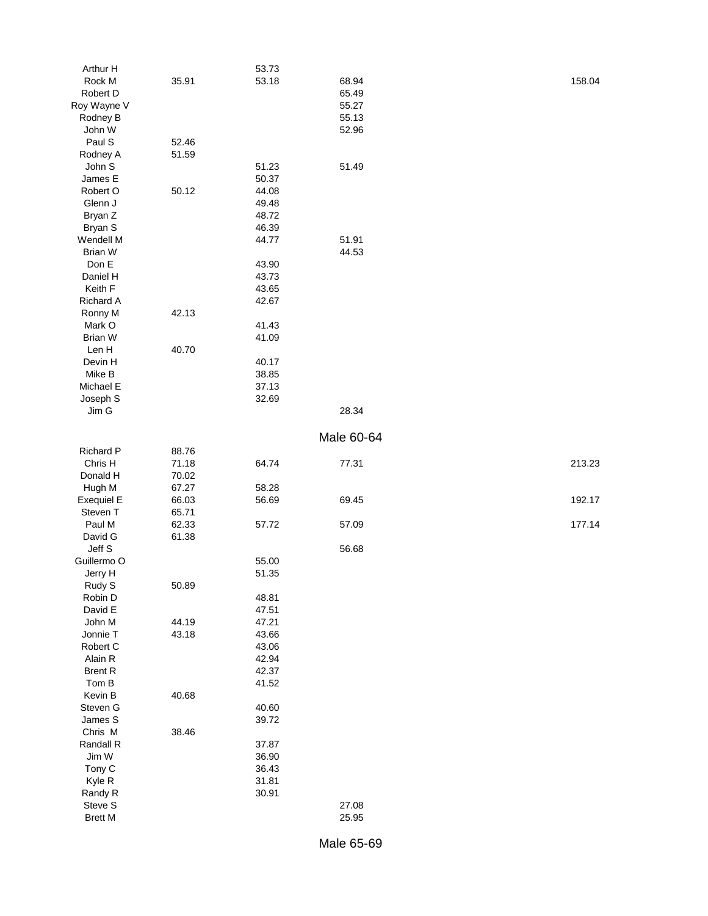| Arthur H          |       | 53.73 |            |        |
|-------------------|-------|-------|------------|--------|
| Rock M            | 35.91 | 53.18 | 68.94      | 158.04 |
| Robert D          |       |       | 65.49      |        |
| Roy Wayne V       |       |       | 55.27      |        |
| Rodney B          |       |       | 55.13      |        |
| John W            |       |       | 52.96      |        |
| Paul S            | 52.46 |       |            |        |
| Rodney A          | 51.59 |       |            |        |
| John S            |       | 51.23 | 51.49      |        |
| James E           |       | 50.37 |            |        |
| Robert O          | 50.12 | 44.08 |            |        |
|                   |       |       |            |        |
| Glenn J           |       | 49.48 |            |        |
| Bryan Z           |       | 48.72 |            |        |
| Bryan S           |       | 46.39 |            |        |
| Wendell M         |       | 44.77 | 51.91      |        |
| <b>Brian W</b>    |       |       | 44.53      |        |
| Don E             |       | 43.90 |            |        |
| Daniel H          |       | 43.73 |            |        |
| Keith F           |       | 43.65 |            |        |
| Richard A         |       | 42.67 |            |        |
| Ronny M           | 42.13 |       |            |        |
| Mark O            |       | 41.43 |            |        |
| <b>Brian W</b>    |       | 41.09 |            |        |
| Len H             | 40.70 |       |            |        |
| Devin H           |       | 40.17 |            |        |
| Mike B            |       | 38.85 |            |        |
| Michael E         |       | 37.13 |            |        |
| Joseph S          |       | 32.69 |            |        |
| Jim G             |       |       | 28.34      |        |
|                   |       |       |            |        |
|                   |       |       | Male 60-64 |        |
|                   |       |       |            |        |
| Richard P         | 88.76 |       |            |        |
| Chris H           | 71.18 | 64.74 | 77.31      | 213.23 |
| Donald H          | 70.02 |       |            |        |
| Hugh M            | 67.27 | 58.28 |            |        |
| <b>Exequiel E</b> | 66.03 | 56.69 | 69.45      | 192.17 |
| Steven T          | 65.71 |       |            |        |
| Paul M            | 62.33 | 57.72 | 57.09      | 177.14 |
| David G           | 61.38 |       |            |        |
| Jeff S            |       |       | 56.68      |        |
| Guillermo O       |       | 55.00 |            |        |
| Jerry H           |       | 51.35 |            |        |
| Rudy S            | 50.89 |       |            |        |
| Robin D           |       | 48.81 |            |        |
| David E           |       | 47.51 |            |        |
| John M            | 44.19 | 47.21 |            |        |
| Jonnie T          | 43.18 | 43.66 |            |        |
| Robert C          |       | 43.06 |            |        |
| Alain R           |       | 42.94 |            |        |
| <b>Brent R</b>    |       | 42.37 |            |        |
| Tom B             |       | 41.52 |            |        |
| Kevin B           | 40.68 |       |            |        |
| Steven G          |       | 40.60 |            |        |
| James S           |       | 39.72 |            |        |
| Chris M           | 38.46 |       |            |        |
|                   |       |       |            |        |
| Randall R         |       | 37.87 |            |        |
| Jim W             |       | 36.90 |            |        |
| Tony C            |       | 36.43 |            |        |
| Kyle R            |       | 31.81 |            |        |
| Randy R           |       | 30.91 |            |        |
| Steve S           |       |       | 27.08      |        |
| <b>Brett M</b>    |       |       | 25.95      |        |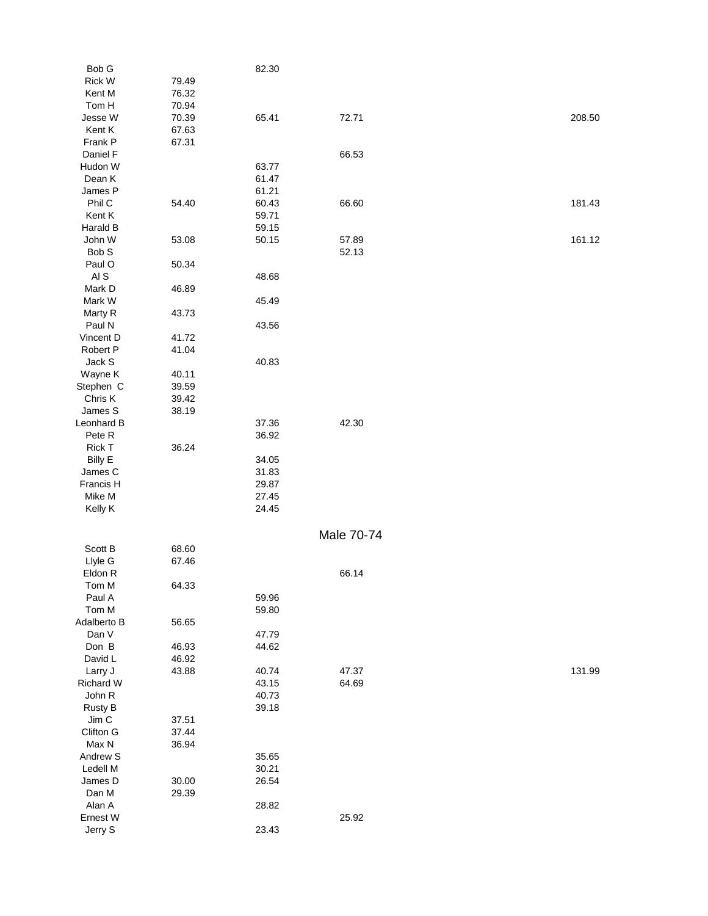| Bob G           |       | 82.30 |            |        |
|-----------------|-------|-------|------------|--------|
| Rick W          | 79.49 |       |            |        |
| Kent M          | 76.32 |       |            |        |
| Tom H           | 70.94 |       |            |        |
| Jesse W         | 70.39 | 65.41 | 72.71      | 208.50 |
| Kent K          | 67.63 |       |            |        |
| Frank P         | 67.31 |       |            |        |
| Daniel F        |       |       | 66.53      |        |
| Hudon W         |       | 63.77 |            |        |
| Dean K          |       | 61.47 |            |        |
| James P         |       | 61.21 |            |        |
| Phil C          | 54.40 | 60.43 | 66.60      | 181.43 |
| Kent K          |       | 59.71 |            |        |
| Harald B        |       | 59.15 |            |        |
| John W          | 53.08 | 50.15 | 57.89      | 161.12 |
| Bob S           |       |       | 52.13      |        |
| Paul O          | 50.34 |       |            |        |
| AI <sub>S</sub> |       | 48.68 |            |        |
| Mark D          | 46.89 |       |            |        |
| Mark W          |       | 45.49 |            |        |
| Marty R         | 43.73 |       |            |        |
| Paul N          |       | 43.56 |            |        |
| Vincent D       | 41.72 |       |            |        |
| Robert P        | 41.04 |       |            |        |
| Jack S          |       | 40.83 |            |        |
| Wayne K         | 40.11 |       |            |        |
| Stephen C       | 39.59 |       |            |        |
| Chris K         | 39.42 |       |            |        |
| James S         | 38.19 |       |            |        |
| Leonhard B      |       | 37.36 | 42.30      |        |
| Pete R          |       | 36.92 |            |        |
| Rick T          | 36.24 |       |            |        |
| <b>Billy E</b>  |       | 34.05 |            |        |
| James C         |       | 31.83 |            |        |
| Francis H       |       | 29.87 |            |        |
| Mike M          |       | 27.45 |            |        |
| Kelly K         |       | 24.45 |            |        |
|                 |       |       |            |        |
|                 |       |       | Male 70-74 |        |
| Scott B         | 68.60 |       |            |        |
| Llyle G         | 67.46 |       |            |        |
| Eldon R         |       |       | 66.14      |        |
| Tom M           | 64.33 |       |            |        |
| Paul A          |       | 59.96 |            |        |
| Tom M           |       | 59.80 |            |        |
| Adalberto B     | 56.65 |       |            |        |
| Dan V           |       | 47.79 |            |        |
| Don B           | 46.93 | 44.62 |            |        |
| David L         | 46.92 |       |            |        |
| Larry J         | 43.88 | 40.74 | 47.37      | 131.99 |
| Richard W       |       | 43.15 | 64.69      |        |
| John R          |       | 40.73 |            |        |
| Rusty B         |       | 39.18 |            |        |
| Jim C           | 37.51 |       |            |        |
| Clifton G       | 37.44 |       |            |        |
| Max N           | 36.94 |       |            |        |
| Andrew S        |       | 35.65 |            |        |
| Ledell M        |       | 30.21 |            |        |
| James D         | 30.00 | 26.54 |            |        |
| Dan M           | 29.39 |       |            |        |
| Alan A          |       | 28.82 |            |        |
| Ernest W        |       |       | 25.92      |        |
| Jerry S         |       | 23.43 |            |        |
|                 |       |       |            |        |